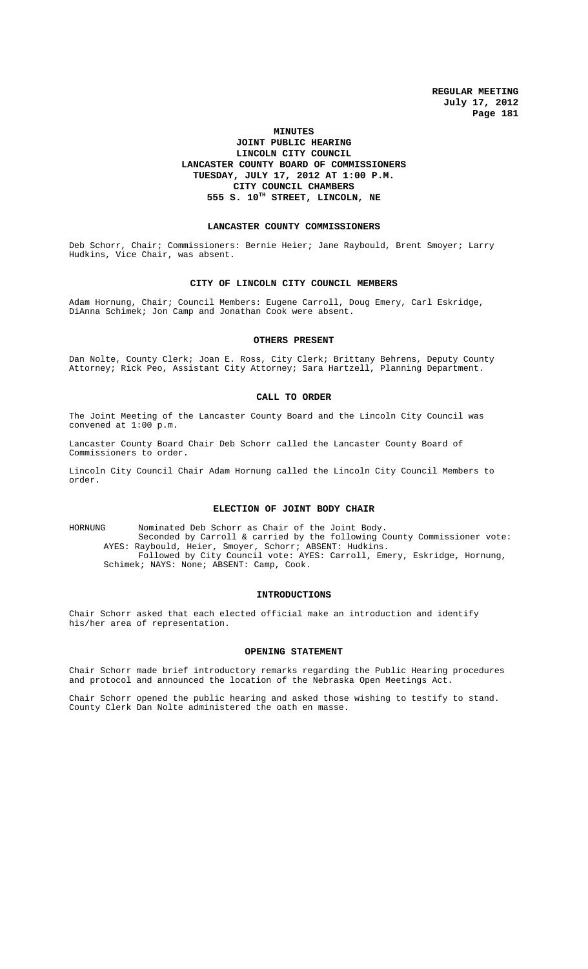# **MINUTES JOINT PUBLIC HEARING LINCOLN CITY COUNCIL LANCASTER COUNTY BOARD OF COMMISSIONERS TUESDAY, JULY 17, 2012 AT 1:00 P.M. CITY COUNCIL CHAMBERS 555 S. 10TH STREET, LINCOLN, NE**

#### **LANCASTER COUNTY COMMISSIONERS**

Deb Schorr, Chair; Commissioners: Bernie Heier; Jane Raybould, Brent Smoyer; Larry Hudkins, Vice Chair, was absent.

#### **CITY OF LINCOLN CITY COUNCIL MEMBERS**

Adam Hornung, Chair; Council Members: Eugene Carroll, Doug Emery, Carl Eskridge, DiAnna Schimek; Jon Camp and Jonathan Cook were absent.

## **OTHERS PRESENT**

Dan Nolte, County Clerk; Joan E. Ross, City Clerk; Brittany Behrens, Deputy County Attorney; Rick Peo, Assistant City Attorney; Sara Hartzell, Planning Department.

### **CALL TO ORDER**

The Joint Meeting of the Lancaster County Board and the Lincoln City Council was convened at 1:00 p.m.

Lancaster County Board Chair Deb Schorr called the Lancaster County Board of Commissioners to order.

Lincoln City Council Chair Adam Hornung called the Lincoln City Council Members to order.

### **ELECTION OF JOINT BODY CHAIR**

HORNUNG Nominated Deb Schorr as Chair of the Joint Body. Seconded by Carroll & carried by the following County Commissioner vote: AYES: Raybould, Heier, Smoyer, Schorr; ABSENT: Hudkins. Followed by City Council vote: AYES: Carroll, Emery, Eskridge, Hornung, Schimek; NAYS: None; ABSENT: Camp, Cook.

## **INTRODUCTIONS**

Chair Schorr asked that each elected official make an introduction and identify his/her area of representation.

#### **OPENING STATEMENT**

Chair Schorr made brief introductory remarks regarding the Public Hearing procedures and protocol and announced the location of the Nebraska Open Meetings Act.

Chair Schorr opened the public hearing and asked those wishing to testify to stand. County Clerk Dan Nolte administered the oath en masse.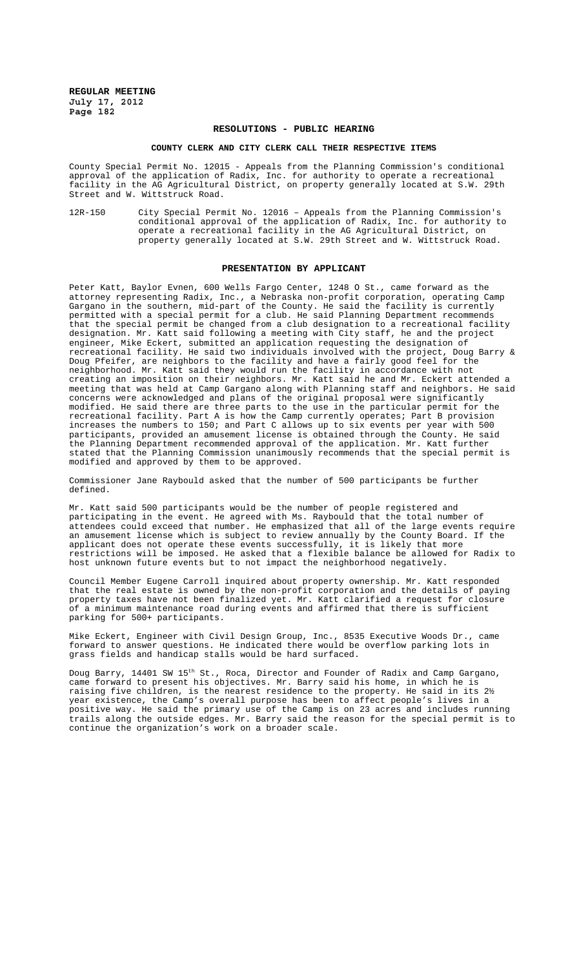### **RESOLUTIONS - PUBLIC HEARING**

#### **COUNTY CLERK AND CITY CLERK CALL THEIR RESPECTIVE ITEMS**

County Special Permit No. 12015 - Appeals from the Planning Commission's conditional approval of the application of Radix, Inc. for authority to operate a recreational facility in the AG Agricultural District, on property generally located at S.W. 29th Street and W. Wittstruck Road.

12R-150 City Special Permit No. 12016 – Appeals from the Planning Commission's conditional approval of the application of Radix, Inc. for authority to operate a recreational facility in the AG Agricultural District, on property generally located at S.W. 29th Street and W. Wittstruck Road.

### **PRESENTATION BY APPLICANT**

Peter Katt, Baylor Evnen, 600 Wells Fargo Center, 1248 O St., came forward as the attorney representing Radix, Inc., a Nebraska non-profit corporation, operating Camp Gargano in the southern, mid-part of the County. He said the facility is currently permitted with a special permit for a club. He said Planning Department recommends that the special permit be changed from a club designation to a recreational facility designation. Mr. Katt said following a meeting with City staff, he and the project engineer, Mike Eckert, submitted an application requesting the designation of recreational facility. He said two individuals involved with the project, Doug Barry & Doug Pfeifer, are neighbors to the facility and have a fairly good feel for the neighborhood. Mr. Katt said they would run the facility in accordance with not creating an imposition on their neighbors. Mr. Katt said he and Mr. Eckert attended a meeting that was held at Camp Gargano along with Planning staff and neighbors. He said concerns were acknowledged and plans of the original proposal were significantly modified. He said there are three parts to the use in the particular permit for the recreational facility. Part A is how the Camp currently operates; Part B provision increases the numbers to 150; and Part C allows up to six events per year with 500 participants, provided an amusement license is obtained through the County. He said the Planning Department recommended approval of the application. Mr. Katt further stated that the Planning Commission unanimously recommends that the special permit is modified and approved by them to be approved.

Commissioner Jane Raybould asked that the number of 500 participants be further defined.

Mr. Katt said 500 participants would be the number of people registered and participating in the event. He agreed with Ms. Raybould that the total number of attendees could exceed that number. He emphasized that all of the large events require an amusement license which is subject to review annually by the County Board. If the applicant does not operate these events successfully, it is likely that more restrictions will be imposed. He asked that a flexible balance be allowed for Radix to host unknown future events but to not impact the neighborhood negatively.

Council Member Eugene Carroll inquired about property ownership. Mr. Katt responded that the real estate is owned by the non-profit corporation and the details of paying property taxes have not been finalized yet. Mr. Katt clarified a request for closure of a minimum maintenance road during events and affirmed that there is sufficient parking for 500+ participants.

Mike Eckert, Engineer with Civil Design Group, Inc., 8535 Executive Woods Dr., came forward to answer questions. He indicated there would be overflow parking lots in grass fields and handicap stalls would be hard surfaced.

Doug Barry, 14401 SW 15<sup>th</sup> St., Roca, Director and Founder of Radix and Camp Gargano, came forward to present his objectives. Mr. Barry said his home, in which he is raising five children, is the nearest residence to the property. He said in its 2½ year existence, the Camp's overall purpose has been to affect people's lives in a positive way. He said the primary use of the Camp is on 23 acres and includes running trails along the outside edges. Mr. Barry said the reason for the special permit is to continue the organization's work on a broader scale.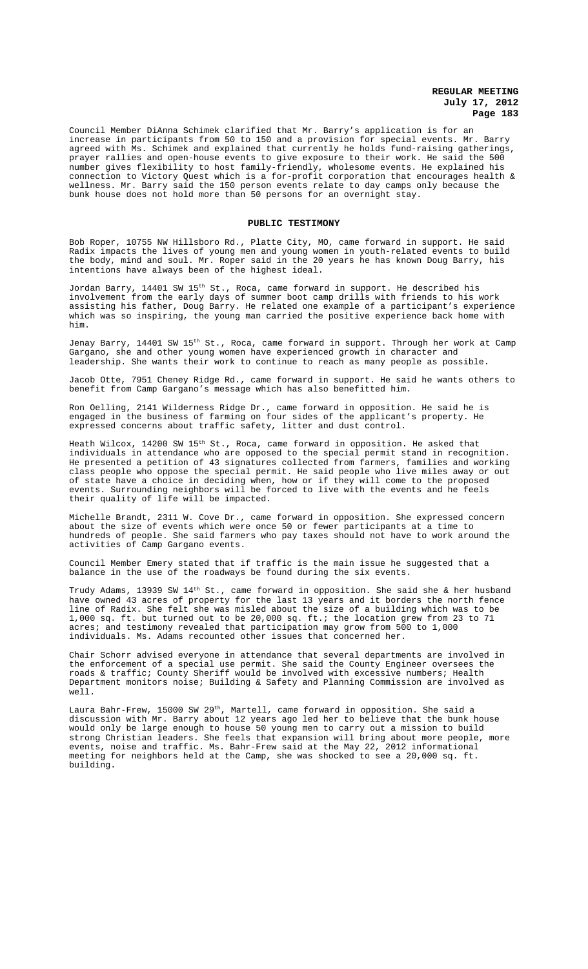Council Member DiAnna Schimek clarified that Mr. Barry's application is for an increase in participants from 50 to 150 and a provision for special events. Mr. Barry agreed with Ms. Schimek and explained that currently he holds fund-raising gatherings, prayer rallies and open-house events to give exposure to their work. He said the 500 number gives flexibility to host family-friendly, wholesome events. He explained his connection to Victory Quest which is a for-profit corporation that encourages health & wellness. Mr. Barry said the 150 person events relate to day camps only because the bunk house does not hold more than 50 persons for an overnight stay.

## **PUBLIC TESTIMONY**

Bob Roper, 10755 NW Hillsboro Rd., Platte City, MO, came forward in support. He said Radix impacts the lives of young men and young women in youth-related events to build the body, mind and soul. Mr. Roper said in the 20 years he has known Doug Barry, his intentions have always been of the highest ideal.

Jordan Barry, 14401 SW 15th St., Roca, came forward in support. He described his involvement from the early days of summer boot camp drills with friends to his work assisting his father, Doug Barry. He related one example of a participant's experience which was so inspiring, the young man carried the positive experience back home with him.

Jenay Barry, 14401 SW 15th St., Roca, came forward in support. Through her work at Camp Gargano, she and other young women have experienced growth in character and leadership. She wants their work to continue to reach as many people as possible.

Jacob Otte, 7951 Cheney Ridge Rd., came forward in support. He said he wants others to benefit from Camp Gargano's message which has also benefitted him.

Ron Oelling, 2141 Wilderness Ridge Dr., came forward in opposition. He said he is engaged in the business of farming on four sides of the applicant's property. He expressed concerns about traffic safety, litter and dust control.

Heath Wilcox, 14200 SW 15<sup>th</sup> St., Roca, came forward in opposition. He asked that individuals in attendance who are opposed to the special permit stand in recognition. He presented a petition of 43 signatures collected from farmers, families and working class people who oppose the special permit. He said people who live miles away or out of state have a choice in deciding when, how or if they will come to the proposed events. Surrounding neighbors will be forced to live with the events and he feels their quality of life will be impacted.

Michelle Brandt, 2311 W. Cove Dr., came forward in opposition. She expressed concern about the size of events which were once 50 or fewer participants at a time to hundreds of people. She said farmers who pay taxes should not have to work around the activities of Camp Gargano events.

Council Member Emery stated that if traffic is the main issue he suggested that a balance in the use of the roadways be found during the six events.

Trudy Adams, 13939 SW  $14<sup>th</sup>$  St., came forward in opposition. She said she & her husband have owned 43 acres of property for the last 13 years and it borders the north fence line of Radix. She felt she was misled about the size of a building which was to be 1,000 sq. ft. but turned out to be 20,000 sq. ft.; the location grew from 23 to 71 acres; and testimony revealed that participation may grow from 500 to 1,000 individuals. Ms. Adams recounted other issues that concerned her.

Chair Schorr advised everyone in attendance that several departments are involved in the enforcement of a special use permit. She said the County Engineer oversees the roads & traffic; County Sheriff would be involved with excessive numbers; Health Department monitors noise; Building & Safety and Planning Commission are involved as well.

Laura Bahr-Frew, 15000 SW 29<sup>th</sup>, Martell, came forward in opposition. She said a discussion with Mr. Barry about 12 years ago led her to believe that the bunk house would only be large enough to house 50 young men to carry out a mission to build strong Christian leaders. She feels that expansion will bring about more people, more events, noise and traffic. Ms. Bahr-Frew said at the May 22, 2012 informational meeting for neighbors held at the Camp, she was shocked to see a 20,000 sq. ft. building.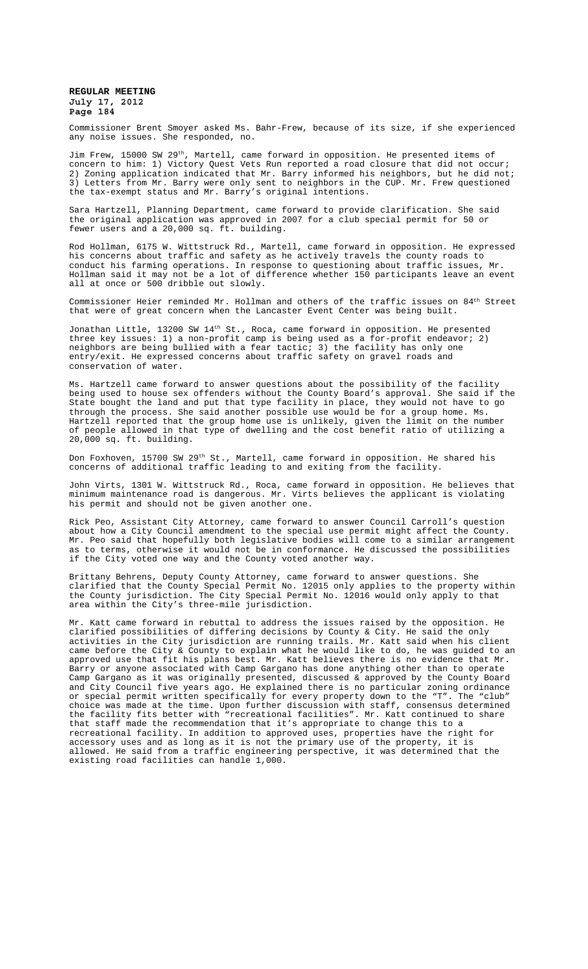Commissioner Brent Smoyer asked Ms. Bahr-Frew, because of its size, if she experienced any noise issues. She responded, no.

Jim Frew, 15000 SW 29th, Martell, came forward in opposition. He presented items of concern to him: 1) Victory Quest Vets Run reported a road closure that did not occur; 2) Zoning application indicated that Mr. Barry informed his neighbors, but he did not; 3) Letters from Mr. Barry were only sent to neighbors in the CUP. Mr. Frew questioned the tax-exempt status and Mr. Barry's original intentions.

Sara Hartzell, Planning Department, came forward to provide clarification. She said the original application was approved in 2007 for a club special permit for 50 or fewer users and a 20,000 sq. ft. building.

Rod Hollman, 6175 W. Wittstruck Rd., Martell, came forward in opposition. He expressed his concerns about traffic and safety as he actively travels the county roads to conduct his farming operations. In response to questioning about traffic issues, Mr. Hollman said it may not be a lot of difference whether 150 participants leave an event all at once or 500 dribble out slowly.

Commissioner Heier reminded Mr. Hollman and others of the traffic issues on  $84<sup>th</sup>$  Street that were of great concern when the Lancaster Event Center was being built.

Jonathan Little, 13200 SW 14<sup>th</sup> St., Roca, came forward in opposition. He presented three key issues: 1) a non-profit camp is being used as a for-profit endeavor; 2) neighbors are being bullied with a fear tactic; 3) the facility has only one entry/exit. He expressed concerns about traffic safety on gravel roads and conservation of water.

Ms. Hartzell came forward to answer questions about the possibility of the facility being used to house sex offenders without the County Board's approval. She said if the State bought the land and put that type facility in place, they would not have to go through the process. She said another possible use would be for a group home. Ms. Hartzell reported that the group home use is unlikely, given the limit on the number of people allowed in that type of dwelling and the cost benefit ratio of utilizing a 20,000 sq. ft. building.

Don Foxhoven, 15700 SW 29<sup>th</sup> St., Martell, came forward in opposition. He shared his concerns of additional traffic leading to and exiting from the facility.

John Virts, 1301 W. Wittstruck Rd., Roca, came forward in opposition. He believes that minimum maintenance road is dangerous. Mr. Virts believes the applicant is violating his permit and should not be given another one.

Rick Peo, Assistant City Attorney, came forward to answer Council Carroll's question about how a City Council amendment to the special use permit might affect the County. Mr. Peo said that hopefully both legislative bodies will come to a similar arrangement as to terms, otherwise it would not be in conformance. He discussed the possibilities if the City voted one way and the County voted another way.

Brittany Behrens, Deputy County Attorney, came forward to answer questions. She clarified that the County Special Permit No. 12015 only applies to the property within the County jurisdiction. The City Special Permit No. 12016 would only apply to that area within the City's three-mile jurisdiction.

Mr. Katt came forward in rebuttal to address the issues raised by the opposition. He clarified possibilities of differing decisions by County & City. He said the only activities in the City jurisdiction are running trails. Mr. Katt said when his client came before the City & County to explain what he would like to do, he was guided to an approved use that fit his plans best. Mr. Katt believes there is no evidence that Mr. Barry or anyone associated with Camp Gargano has done anything other than to operate Camp Gargano as it was originally presented, discussed  $\&$  approved by the County Board and City Council five years ago. He explained there is no particular zoning ordinance or special permit written specifically for every property down to the "T". The "club" choice was made at the time. Upon further discussion with staff, consensus determined the facility fits better with "recreational facilities". Mr. Katt continued to share that staff made the recommendation that it's appropriate to change this to a recreational facility. In addition to approved uses, properties have the right for accessory uses and as long as it is not the primary use of the property, it is allowed. He said from a traffic engineering perspective, it was determined that the existing road facilities can handle 1,000.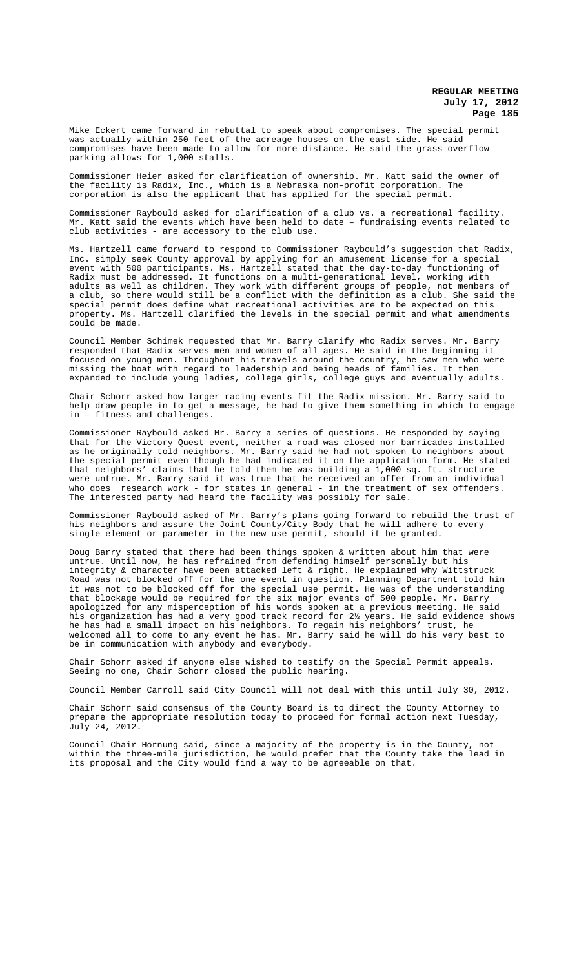Mike Eckert came forward in rebuttal to speak about compromises. The special permit was actually within 250 feet of the acreage houses on the east side. He said compromises have been made to allow for more distance. He said the grass overflow parking allows for 1,000 stalls.

Commissioner Heier asked for clarification of ownership. Mr. Katt said the owner of the facility is Radix, Inc., which is a Nebraska non–profit corporation. The corporation is also the applicant that has applied for the special permit.

Commissioner Raybould asked for clarification of a club vs. a recreational facility. Mr. Katt said the events which have been held to date – fundraising events related to club activities - are accessory to the club use.

Ms. Hartzell came forward to respond to Commissioner Raybould's suggestion that Radix, Inc. simply seek County approval by applying for an amusement license for a special event with 500 participants. Ms. Hartzell stated that the day-to-day functioning of Radix must be addressed. It functions on a multi-generational level, working with adults as well as children. They work with different groups of people, not members of a club, so there would still be a conflict with the definition as a club. She said the special permit does define what recreational activities are to be expected on this property. Ms. Hartzell clarified the levels in the special permit and what amendments could be made.

Council Member Schimek requested that Mr. Barry clarify who Radix serves. Mr. Barry responded that Radix serves men and women of all ages. He said in the beginning it focused on young men. Throughout his travels around the country, he saw men who were missing the boat with regard to leadership and being heads of families. It then expanded to include young ladies, college girls, college guys and eventually adults.

Chair Schorr asked how larger racing events fit the Radix mission. Mr. Barry said to help draw people in to get a message, he had to give them something in which to engage in – fitness and challenges.

Commissioner Raybould asked Mr. Barry a series of questions. He responded by saying that for the Victory Quest event, neither a road was closed nor barricades installed as he originally told neighbors. Mr. Barry said he had not spoken to neighbors about the special permit even though he had indicated it on the application form. He stated that neighbors' claims that he told them he was building a 1,000 sq. ft. structure were untrue. Mr. Barry said it was true that he received an offer from an individual who does research work - for states in general - in the treatment of sex offenders. The interested party had heard the facility was possibly for sale.

Commissioner Raybould asked of Mr. Barry's plans going forward to rebuild the trust of his neighbors and assure the Joint County/City Body that he will adhere to every single element or parameter in the new use permit, should it be granted.

Doug Barry stated that there had been things spoken & written about him that were untrue. Until now, he has refrained from defending himself personally but his Until now, he has refrained from defending himself personally but his integrity & character have been attacked left & right. He explained why Wittstruck Road was not blocked off for the one event in question. Planning Department told him it was not to be blocked off for the special use permit. He was of the understanding that blockage would be required for the six major events of 500 people. Mr. Barry apologized for any misperception of his words spoken at a previous meeting. He said his organization has had a very good track record for 2½ years. He said evidence shows he has had a small impact on his neighbors. To regain his neighbors' trust, he welcomed all to come to any event he has. Mr. Barry said he will do his very best to be in communication with anybody and everybody.

Chair Schorr asked if anyone else wished to testify on the Special Permit appeals. Seeing no one, Chair Schorr closed the public hearing.

Council Member Carroll said City Council will not deal with this until July 30, 2012.

Chair Schorr said consensus of the County Board is to direct the County Attorney to prepare the appropriate resolution today to proceed for formal action next Tuesday, July 24, 2012.

Council Chair Hornung said, since a majority of the property is in the County, not within the three-mile jurisdiction, he would prefer that the County take the lead in its proposal and the City would find a way to be agreeable on that.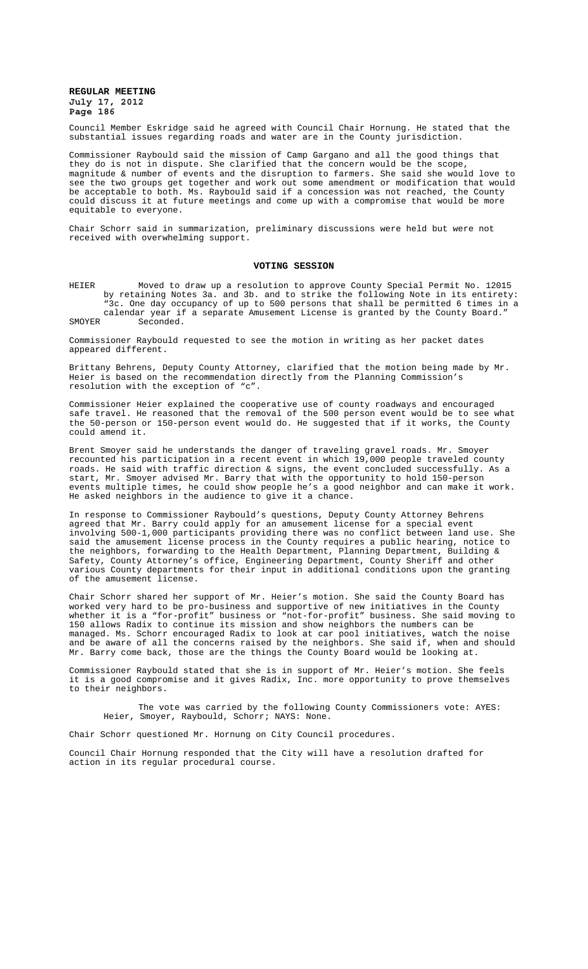Council Member Eskridge said he agreed with Council Chair Hornung. He stated that the substantial issues regarding roads and water are in the County jurisdiction.

Commissioner Raybould said the mission of Camp Gargano and all the good things that they do is not in dispute. She clarified that the concern would be the scope, magnitude & number of events and the disruption to farmers. She said she would love to see the two groups get together and work out some amendment or modification that would be acceptable to both. Ms. Raybould said if a concession was not reached, the County could discuss it at future meetings and come up with a compromise that would be more equitable to everyone.

Chair Schorr said in summarization, preliminary discussions were held but were not received with overwhelming support.

#### **VOTING SESSION**

HEIER Moved to draw up a resolution to approve County Special Permit No. 12015 by retaining Notes 3a. and 3b. and to strike the following Note in its entirety: "3c. One day occupancy of up to 500 persons that shall be permitted 6 times in a calendar year if a separate Amusement License is granted by the County Board." SMOYER Seconded.

Commissioner Raybould requested to see the motion in writing as her packet dates appeared different.

Brittany Behrens, Deputy County Attorney, clarified that the motion being made by Mr. Heier is based on the recommendation directly from the Planning Commission's resolution with the exception of "c".

Commissioner Heier explained the cooperative use of county roadways and encouraged safe travel. He reasoned that the removal of the 500 person event would be to see what the 50-person or 150-person event would do. He suggested that if it works, the County could amend it.

Brent Smoyer said he understands the danger of traveling gravel roads. Mr. Smoyer recounted his participation in a recent event in which 19,000 people traveled county roads. He said with traffic direction & signs, the event concluded successfully. As a start, Mr. Smoyer advised Mr. Barry that with the opportunity to hold 150-person events multiple times, he could show people he's a good neighbor and can make it work. He asked neighbors in the audience to give it a chance.

In response to Commissioner Raybould's questions, Deputy County Attorney Behrens agreed that Mr. Barry could apply for an amusement license for a special event involving 500-1,000 participants providing there was no conflict between land use. She said the amusement license process in the County requires a public hearing, notice to the neighbors, forwarding to the Health Department, Planning Department, Building & Safety, County Attorney's office, Engineering Department, County Sheriff and other various County departments for their input in additional conditions upon the granting of the amusement license.

Chair Schorr shared her support of Mr. Heier's motion. She said the County Board has worked very hard to be pro-business and supportive of new initiatives in the County whether it is a "for-profit" business or "not-for-profit" business. She said moving to 150 allows Radix to continue its mission and show neighbors the numbers can be managed. Ms. Schorr encouraged Radix to look at car pool initiatives, watch the noise and be aware of all the concerns raised by the neighbors. She said if, when and should Mr. Barry come back, those are the things the County Board would be looking at.

Commissioner Raybould stated that she is in support of Mr. Heier's motion. She feels it is a good compromise and it gives Radix, Inc. more opportunity to prove themselves to their neighbors.

The vote was carried by the following County Commissioners vote: AYES: Heier, Smoyer, Raybould, Schorr; NAYS: None.

Chair Schorr questioned Mr. Hornung on City Council procedures.

Council Chair Hornung responded that the City will have a resolution drafted for action in its regular procedural course.